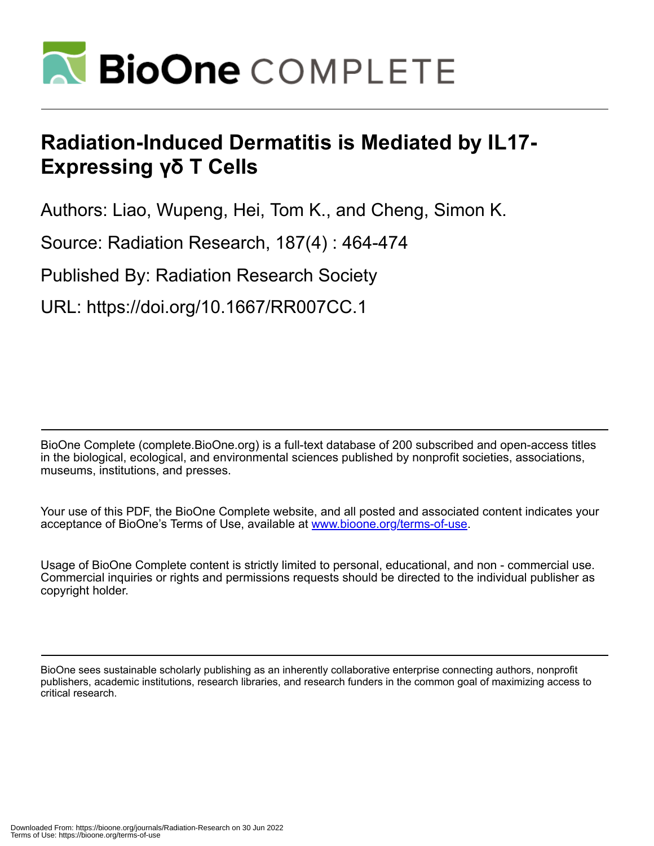

# **Radiation-Induced Dermatitis is Mediated by IL17- Expressing γδ T Cells**

Authors: Liao, Wupeng, Hei, Tom K., and Cheng, Simon K.

Source: Radiation Research, 187(4) : 464-474

Published By: Radiation Research Society

URL: https://doi.org/10.1667/RR007CC.1

BioOne Complete (complete.BioOne.org) is a full-text database of 200 subscribed and open-access titles in the biological, ecological, and environmental sciences published by nonprofit societies, associations, museums, institutions, and presses.

Your use of this PDF, the BioOne Complete website, and all posted and associated content indicates your acceptance of BioOne's Terms of Use, available at www.bioone.org/terms-of-use.

Usage of BioOne Complete content is strictly limited to personal, educational, and non - commercial use. Commercial inquiries or rights and permissions requests should be directed to the individual publisher as copyright holder.

BioOne sees sustainable scholarly publishing as an inherently collaborative enterprise connecting authors, nonprofit publishers, academic institutions, research libraries, and research funders in the common goal of maximizing access to critical research.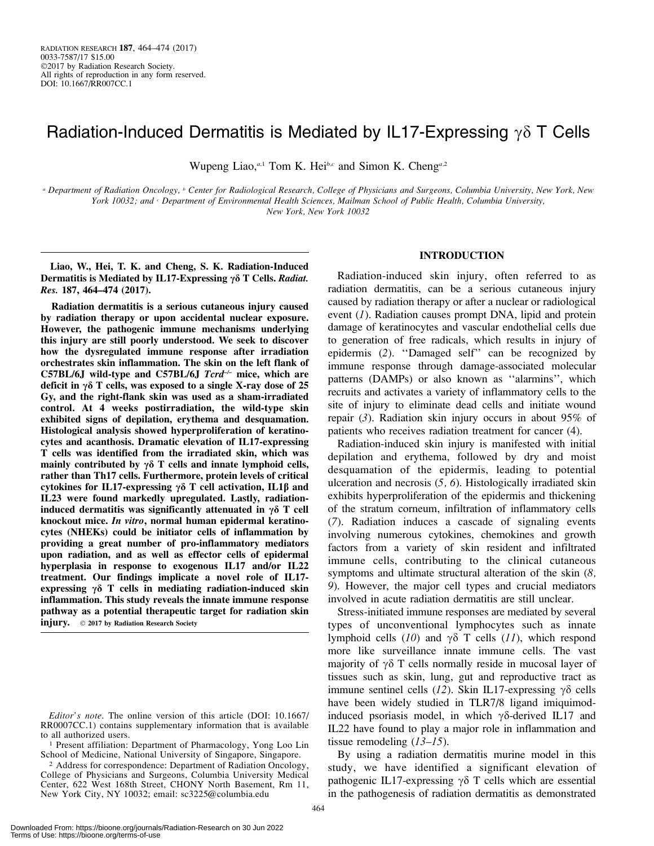# Radiation-Induced Dermatitis is Mediated by IL17-Expressing  $\gamma\delta$  T Cells

Wupeng Liao,<sup>*a*,1</sup> Tom K. Hei<sup>b,c</sup> and Simon K. Cheng<sup>*a*,2</sup>

<sup>a</sup> Department of Radiation Oncology, <sup>b</sup> Center for Radiological Research, College of Physicians and Surgeons, Columbia University, New York, New York 10032; and *c Department of Environmental Health Sciences, Mailman School of Public Health, Columbia University,* New York, New York 10032

Liao, W., Hei, T. K. and Cheng, S. K. Radiation-Induced Dermatitis is Mediated by IL17-Expressing  $\gamma \delta$  T Cells. Radiat. Res. 187, 464–474 (2017).

Radiation dermatitis is a serious cutaneous injury caused by radiation therapy or upon accidental nuclear exposure. However, the pathogenic immune mechanisms underlying this injury are still poorly understood. We seek to discover how the dysregulated immune response after irradiation orchestrates skin inflammation. The skin on the left flank of C57BL/6J wild-type and C57BL/6J  $Tcr\ddot{\tau}$  mice, which are deficit in  $\gamma\delta$  T cells, was exposed to a single X-ray dose of 25 Gy, and the right-flank skin was used as a sham-irradiated control. At 4 weeks postirradiation, the wild-type skin exhibited signs of depilation, erythema and desquamation. Histological analysis showed hyperproliferation of keratinocytes and acanthosis. Dramatic elevation of IL17-expressing T cells was identified from the irradiated skin, which was mainly contributed by  $\gamma\delta$  T cells and innate lymphoid cells, rather than Th17 cells. Furthermore, protein levels of critical cytokines for IL17-expressing  $\gamma\delta$  T cell activation, IL1 $\beta$  and IL23 were found markedly upregulated. Lastly, radiationinduced dermatitis was significantly attenuated in  $\gamma \delta$  T cell knockout mice. In vitro, normal human epidermal keratinocytes (NHEKs) could be initiator cells of inflammation by providing a great number of pro-inflammatory mediators upon radiation, and as well as effector cells of epidermal hyperplasia in response to exogenous IL17 and/or IL22 treatment. Our findings implicate a novel role of IL17 expressing  $\gamma \delta$  T cells in mediating radiation-induced skin inflammation. This study reveals the innate immune response pathway as a potential therapeutic target for radiation skin injury. © 2017 by Radiation Research Society

# INTRODUCTION

Radiation-induced skin injury, often referred to as radiation dermatitis, can be a serious cutaneous injury caused by radiation therapy or after a nuclear or radiological event (1). Radiation causes prompt DNA, lipid and protein damage of keratinocytes and vascular endothelial cells due to generation of free radicals, which results in injury of epidermis (2). ''Damaged self'' can be recognized by immune response through damage-associated molecular patterns (DAMPs) or also known as ''alarmins'', which recruits and activates a variety of inflammatory cells to the site of injury to eliminate dead cells and initiate wound repair (3). Radiation skin injury occurs in about 95% of patients who receives radiation treatment for cancer (4).

Radiation-induced skin injury is manifested with initial depilation and erythema, followed by dry and moist desquamation of the epidermis, leading to potential ulceration and necrosis  $(5, 6)$ . Histologically irradiated skin exhibits hyperproliferation of the epidermis and thickening of the stratum corneum, infiltration of inflammatory cells (7). Radiation induces a cascade of signaling events involving numerous cytokines, chemokines and growth factors from a variety of skin resident and infiltrated immune cells, contributing to the clinical cutaneous symptoms and ultimate structural alteration of the skin  $(8, 8)$ 9). However, the major cell types and crucial mediators involved in acute radiation dermatitis are still unclear.

Stress-initiated immune responses are mediated by several types of unconventional lymphocytes such as innate lymphoid cells (10) and  $\gamma\delta$  T cells (11), which respond more like surveillance innate immune cells. The vast majority of  $\gamma\delta$  T cells normally reside in mucosal layer of tissues such as skin, lung, gut and reproductive tract as immune sentinel cells (12). Skin IL17-expressing  $\gamma\delta$  cells have been widely studied in TLR7/8 ligand imiquimodinduced psoriasis model, in which  $\gamma\delta$ -derived IL17 and IL22 have found to play a major role in inflammation and tissue remodeling  $(13–15)$ .

By using a radiation dermatitis murine model in this study, we have identified a significant elevation of pathogenic IL17-expressing  $\gamma\delta$  T cells which are essential in the pathogenesis of radiation dermatitis as demonstrated

Editor's note. The online version of this article (DOI: 10.1667/ RR0007CC.1) contains supplementary information that is available to all authorized users.

<sup>1</sup> Present affiliation: Department of Pharmacology, Yong Loo Lin School of Medicine, National University of Singapore, Singapore.

<sup>2</sup> Address for correspondence: Department of Radiation Oncology, College of Physicians and Surgeons, Columbia University Medical Center, 622 West 168th Street, CHONY North Basement, Rm 11, New York City, NY 10032; email: sc3225@columbia.edu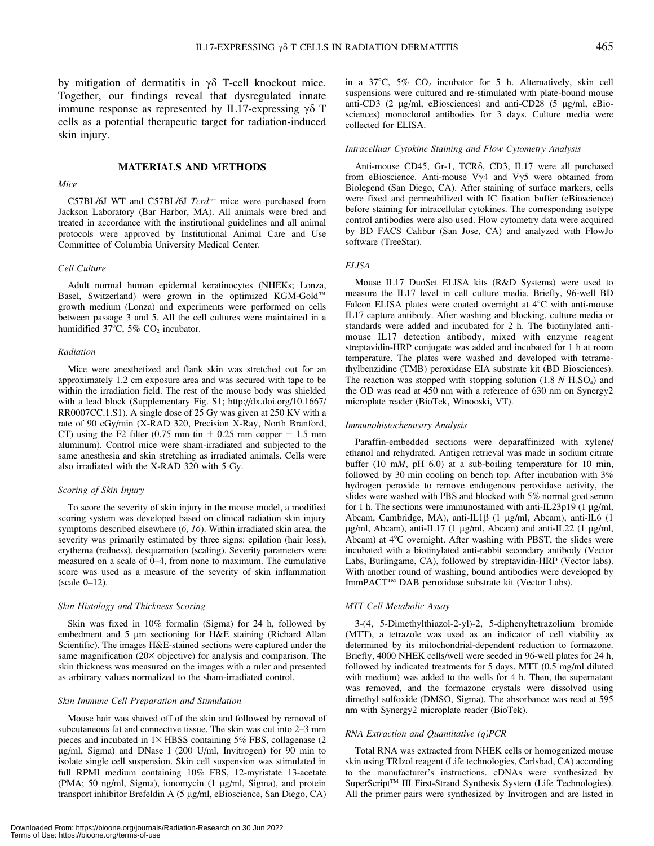by mitigation of dermatitis in  $\gamma\delta$  T-cell knockout mice. Together, our findings reveal that dysregulated innate immune response as represented by IL17-expressing  $\gamma \delta$  T cells as a potential therapeutic target for radiation-induced skin injury.

## MATERIALS AND METHODS

#### Mice

## C57BL/6J WT and C57BL/6J  $Tcrd^{-/-}$  mice were purchased from Jackson Laboratory (Bar Harbor, MA). All animals were bred and treated in accordance with the institutional guidelines and all animal protocols were approved by Institutional Animal Care and Use Committee of Columbia University Medical Center.

#### Cell Culture

Adult normal human epidermal keratinocytes (NHEKs; Lonza, Basel, Switzerland) were grown in the optimized KGM-Gold<sup>™</sup> growth medium (Lonza) and experiments were performed on cells between passage 3 and 5. All the cell cultures were maintained in a humidified 37°C, 5% CO<sub>2</sub> incubator.

#### Radiation

Mice were anesthetized and flank skin was stretched out for an approximately 1.2 cm exposure area and was secured with tape to be within the irradiation field. The rest of the mouse body was shielded with a lead block (Supplementary Fig. S1; http://dx.doi.org/10.1667/ RR0007CC.1.S1). A single dose of 25 Gy was given at 250 KV with a rate of 90 cGy/min (X-RAD 320, Precision X-Ray, North Branford, CT) using the F2 filter (0.75 mm tin  $\pm$  0.25 mm copper  $\pm$  1.5 mm aluminum). Control mice were sham-irradiated and subjected to the same anesthesia and skin stretching as irradiated animals. Cells were also irradiated with the X-RAD 320 with 5 Gy.

#### Scoring of Skin Injury

To score the severity of skin injury in the mouse model, a modified scoring system was developed based on clinical radiation skin injury symptoms described elsewhere (6, 16). Within irradiated skin area, the severity was primarily estimated by three signs: epilation (hair loss), erythema (redness), desquamation (scaling). Severity parameters were measured on a scale of 0–4, from none to maximum. The cumulative score was used as a measure of the severity of skin inflammation (scale 0–12).

#### Skin Histology and Thickness Scoring

Skin was fixed in 10% formalin (Sigma) for 24 h, followed by embedment and 5 µm sectioning for H&E staining (Richard Allan Scientific). The images H&E-stained sections were captured under the same magnification  $(20 \times$  objective) for analysis and comparison. The skin thickness was measured on the images with a ruler and presented as arbitrary values normalized to the sham-irradiated control.

#### Skin Immune Cell Preparation and Stimulation

Mouse hair was shaved off of the skin and followed by removal of subcutaneous fat and connective tissue. The skin was cut into 2–3 mm pieces and incubated in  $1\times$  HBSS containing 5% FBS, collagenase (2 lg/ml, Sigma) and DNase I (200 U/ml, Invitrogen) for 90 min to isolate single cell suspension. Skin cell suspension was stimulated in full RPMI medium containing 10% FBS, 12-myristate 13-acetate (PMA; 50 ng/ml, Sigma), ionomycin  $(1 \mu g/ml, Sigma)$ , and protein transport inhibitor Brefeldin A (5 µg/ml, eBioscience, San Diego, CA) in a  $37^{\circ}$ C,  $5\%$  CO<sub>2</sub> incubator for 5 h. Alternatively, skin cell suspensions were cultured and re-stimulated with plate-bound mouse anti-CD3 (2 µg/ml, eBiosciences) and anti-CD28 (5 µg/ml, eBiosciences) monoclonal antibodies for 3 days. Culture media were collected for ELISA.

#### Intracelluar Cytokine Staining and Flow Cytometry Analysis

Anti-mouse CD45, Gr-1, TCRδ, CD3, IL17 were all purchased from eBioscience. Anti-mouse V $\gamma$ 4 and V $\gamma$ 5 were obtained from Biolegend (San Diego, CA). After staining of surface markers, cells were fixed and permeabilized with IC fixation buffer (eBioscience) before staining for intracellular cytokines. The corresponding isotype control antibodies were also used. Flow cytometry data were acquired by BD FACS Calibur (San Jose, CA) and analyzed with FlowJo software (TreeStar).

#### ELISA

Mouse IL17 DuoSet ELISA kits (R&D Systems) were used to measure the IL17 level in cell culture media. Briefly, 96-well BD Falcon ELISA plates were coated overnight at  $4^{\circ}$ C with anti-mouse IL17 capture antibody. After washing and blocking, culture media or standards were added and incubated for 2 h. The biotinylated antimouse IL17 detection antibody, mixed with enzyme reagent streptavidin-HRP conjugate was added and incubated for 1 h at room temperature. The plates were washed and developed with tetramethylbenzidine (TMB) peroxidase EIA substrate kit (BD Biosciences). The reaction was stopped with stopping solution  $(1.8 N H<sub>2</sub>SO<sub>4</sub>)$  and the OD was read at 450 nm with a reference of 630 nm on Synergy2 microplate reader (BioTek, Winooski, VT).

#### Immunohistochemistry Analysis

Paraffin-embedded sections were deparaffinized with xylene/ ethanol and rehydrated. Antigen retrieval was made in sodium citrate buffer (10 mM, pH 6.0) at a sub-boiling temperature for 10 min, followed by 30 min cooling on bench top. After incubation with 3% hydrogen peroxide to remove endogenous peroxidase activity, the slides were washed with PBS and blocked with 5% normal goat serum for 1 h. The sections were immunostained with anti-IL23p19 (1  $\mu$ g/ml, Abcam, Cambridge, MA), anti-IL1β (1 μg/ml, Abcam), anti-IL6 (1 μg/ml, Abcam), anti-IL17 (1 μg/ml, Abcam) and anti-IL22 (1 μg/ml, Abcam) at  $4^{\circ}$ C overnight. After washing with PBST, the slides were incubated with a biotinylated anti-rabbit secondary antibody (Vector Labs, Burlingame, CA), followed by streptavidin-HRP (Vector labs). With another round of washing, bound antibodies were developed by ImmPACTTM DAB peroxidase substrate kit (Vector Labs).

#### MTT Cell Metabolic Assay

3-(4, 5-Dimethylthiazol-2-yl)-2, 5-diphenyltetrazolium bromide (MTT), a tetrazole was used as an indicator of cell viability as determined by its mitochondrial-dependent reduction to formazone. Briefly, 4000 NHEK cells/well were seeded in 96-well plates for 24 h, followed by indicated treatments for 5 days. MTT (0.5 mg/ml diluted with medium) was added to the wells for 4 h. Then, the supernatant was removed, and the formazone crystals were dissolved using dimethyl sulfoxide (DMSO, Sigma). The absorbance was read at 595 nm with Synergy2 microplate reader (BioTek).

#### RNA Extraction and Quantitative (q)PCR

Total RNA was extracted from NHEK cells or homogenized mouse skin using TRIzol reagent (Life technologies, Carlsbad, CA) according to the manufacturer's instructions. cDNAs were synthesized by SuperScript<sup>™</sup> III First-Strand Synthesis System (Life Technologies). All the primer pairs were synthesized by Invitrogen and are listed in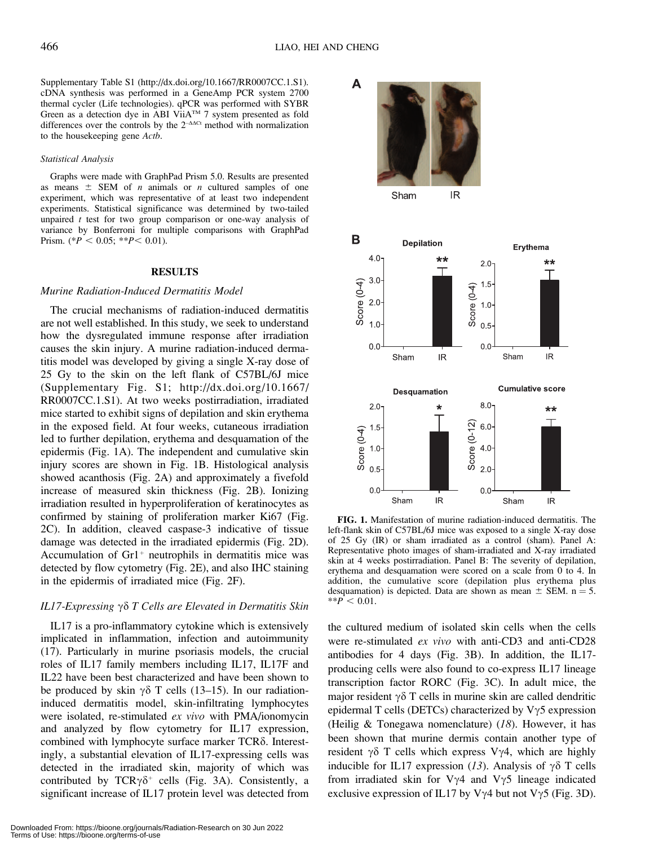A

Supplementary Table S1 (http://dx.doi.org/10.1667/RR0007CC.1.S1). cDNA synthesis was performed in a GeneAmp PCR system 2700 thermal cycler (Life technologies). qPCR was performed with SYBR Green as a detection dye in ABI ViiA™ 7 system presented as fold differences over the controls by the  $2^{-AACt}$  method with normalization to the housekeeping gene Actb.

#### Statistical Analysis

Graphs were made with GraphPad Prism 5.0. Results are presented as means  $\pm$  SEM of *n* animals or *n* cultured samples of one experiment, which was representative of at least two independent experiments. Statistical significance was determined by two-tailed unpaired  $t$  test for two group comparison or one-way analysis of variance by Bonferroni for multiple comparisons with GraphPad Prism. (\* $P < 0.05$ ; \*\* $P < 0.01$ ).

#### RESULTS

#### Murine Radiation-Induced Dermatitis Model

The crucial mechanisms of radiation-induced dermatitis are not well established. In this study, we seek to understand how the dysregulated immune response after irradiation causes the skin injury. A murine radiation-induced dermatitis model was developed by giving a single X-ray dose of 25 Gy to the skin on the left flank of C57BL/6J mice (Supplementary Fig. S1; http://dx.doi.org/10.1667/ RR0007CC.1.S1). At two weeks postirradiation, irradiated mice started to exhibit signs of depilation and skin erythema in the exposed field. At four weeks, cutaneous irradiation led to further depilation, erythema and desquamation of the epidermis (Fig. 1A). The independent and cumulative skin injury scores are shown in Fig. 1B. Histological analysis showed acanthosis (Fig. 2A) and approximately a fivefold increase of measured skin thickness (Fig. 2B). Ionizing irradiation resulted in hyperproliferation of keratinocytes as confirmed by staining of proliferation marker Ki67 (Fig. 2C). In addition, cleaved caspase-3 indicative of tissue damage was detected in the irradiated epidermis (Fig. 2D). Accumulation of  $Gr1^+$  neutrophils in dermatitis mice was detected by flow cytometry (Fig. 2E), and also IHC staining in the epidermis of irradiated mice (Fig. 2F).

#### IL17-Expressing  $\gamma \delta T$  Cells are Elevated in Dermatitis Skin

IL17 is a pro-inflammatory cytokine which is extensively implicated in inflammation, infection and autoimmunity (17). Particularly in murine psoriasis models, the crucial roles of IL17 family members including IL17, IL17F and IL22 have been best characterized and have been shown to be produced by skin  $\gamma\delta$  T cells (13–15). In our radiationinduced dermatitis model, skin-infiltrating lymphocytes were isolated, re-stimulated ex vivo with PMA/ionomycin and analyzed by flow cytometry for IL17 expression, combined with lymphocyte surface marker  $TCR\delta$ . Interestingly, a substantial elevation of IL17-expressing cells was detected in the irradiated skin, majority of which was contributed by  $TCR\gamma\delta^+$  cells (Fig. 3A). Consistently, a significant increase of IL17 protein level was detected from



FIG. 1. Manifestation of murine radiation-induced dermatitis. The left-flank skin of C57BL/6J mice was exposed to a single X-ray dose of 25 Gy (IR) or sham irradiated as a control (sham). Panel A: Representative photo images of sham-irradiated and X-ray irradiated skin at 4 weeks postirradiation. Panel B: The severity of depilation, erythema and desquamation were scored on a scale from 0 to 4. In addition, the cumulative score (depilation plus erythema plus desquamation) is depicted. Data are shown as mean  $\pm$  SEM. n = 5.  $*$  $P < 0.01$ .

the cultured medium of isolated skin cells when the cells were re-stimulated ex vivo with anti-CD3 and anti-CD28 antibodies for 4 days (Fig. 3B). In addition, the IL17 producing cells were also found to co-express IL17 lineage transcription factor RORC (Fig. 3C). In adult mice, the major resident  $\gamma \delta$  T cells in murine skin are called dendritic epidermal T cells (DETCs) characterized by  $V\gamma$ 5 expression (Heilig & Tonegawa nomenclature)  $(18)$ . However, it has been shown that murine dermis contain another type of resident  $\gamma\delta$  T cells which express V $\gamma$ 4, which are highly inducible for IL17 expression (13). Analysis of  $\gamma\delta$  T cells from irradiated skin for V $\gamma$ 4 and V $\gamma$ 5 lineage indicated exclusive expression of IL17 by V $\gamma$ 4 but not V $\gamma$ 5 (Fig. 3D).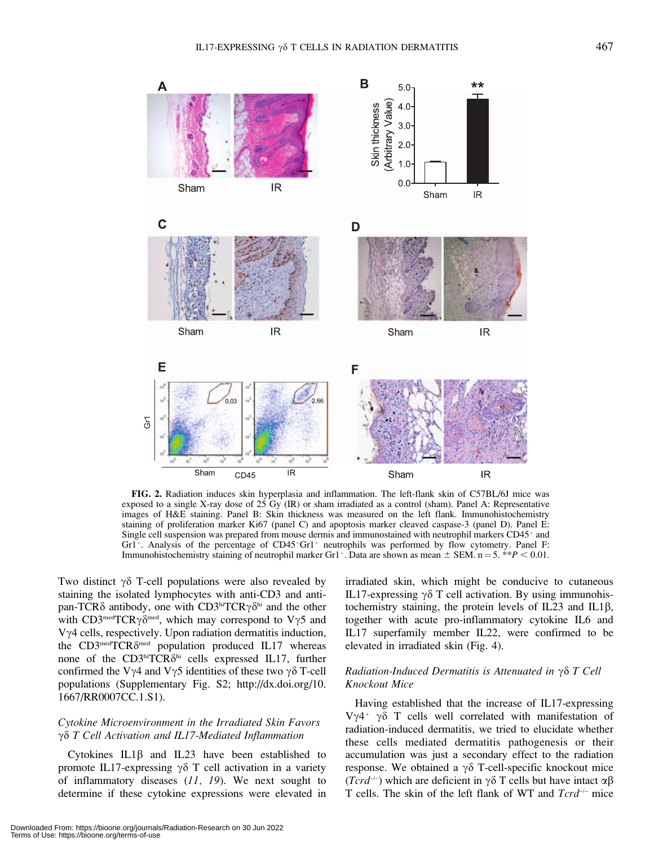

FIG. 2. Radiation induces skin hyperplasia and inflammation. The left-flank skin of C57BL/6J mice was exposed to a single X-ray dose of 25 Gy (IR) or sham irradiated as a control (sham). Panel A: Representative images of H&E staining. Panel B: Skin thickness was measured on the left flank. Immunohistochemistry staining of proliferation marker Ki67 (panel C) and apoptosis marker cleaved caspase-3 (panel D). Panel E: Single cell suspension was prepared from mouse dermis and immunostained with neutrophil markers  $CD45<sup>+</sup>$  and Gr1<sup>+</sup>. Analysis of the percentage of CD45<sup>+</sup>Gr1<sup>+</sup> neutrophils was performed by flow cytometry. Panel F: Immunohistochemistry staining of neutrophil marker Gr1<sup>+</sup>. Data are shown as mean  $\pm$  SEM. n = 5. \*\*P < 0.01.

Two distinct  $\gamma\delta$  T-cell populations were also revealed by staining the isolated lymphocytes with anti-CD3 and antipan-TCR $\delta$  antibody, one with CD3hiTCR $\gamma \delta^{hi}$  and the other with CD3<sup>med</sup>TCR $\gamma\delta^{\text{med}}$ , which may correspond to V $\gamma$ 5 and  $V\gamma$ 4 cells, respectively. Upon radiation dermatitis induction, the CD3<sup>med</sup>TCR $\delta^{\text{med}}$  population produced IL17 whereas none of the  $CD3<sup>hi</sup>TCR<sub>o</sub>$ <sup>hi</sup> cells expressed IL17, further confirmed the V $\gamma$ 4 and V $\gamma$ 5 identities of these two  $\gamma \delta$  T-cell populations (Supplementary Fig. S2; http://dx.doi.org/10. 1667/RR0007CC.1.S1).

# Cytokine Microenvironment in the Irradiated Skin Favors  $\gamma\delta$  T Cell Activation and IL17-Mediated Inflammation

Cytokines  $IL1\beta$  and  $IL23$  have been established to promote IL17-expressing  $\gamma\delta$  T cell activation in a variety of inflammatory diseases  $(11, 19)$ . We next sought to determine if these cytokine expressions were elevated in irradiated skin, which might be conducive to cutaneous IL17-expressing  $\gamma \delta$  T cell activation. By using immunohistochemistry staining, the protein levels of IL23 and IL1 $\beta$ , together with acute pro-inflammatory cytokine IL6 and IL17 superfamily member IL22, were confirmed to be elevated in irradiated skin (Fig. 4).

# Radiation-Induced Dermatitis is Attenuated in  $\gamma \delta T$  Cell Knockout Mice

Having established that the increase of IL17-expressing V $\gamma$ 4<sup>+</sup>  $\gamma$  $\delta$  T cells well correlated with manifestation of radiation-induced dermatitis, we tried to elucidate whether these cells mediated dermatitis pathogenesis or their accumulation was just a secondary effect to the radiation response. We obtained a  $\gamma\delta$  T-cell-specific knockout mice  $(Tcrd^{-1})$  which are deficient in  $\gamma\delta$  T cells but have intact  $\alpha\beta$ T cells. The skin of the left flank of WT and  $Tcrd^{-1}$  mice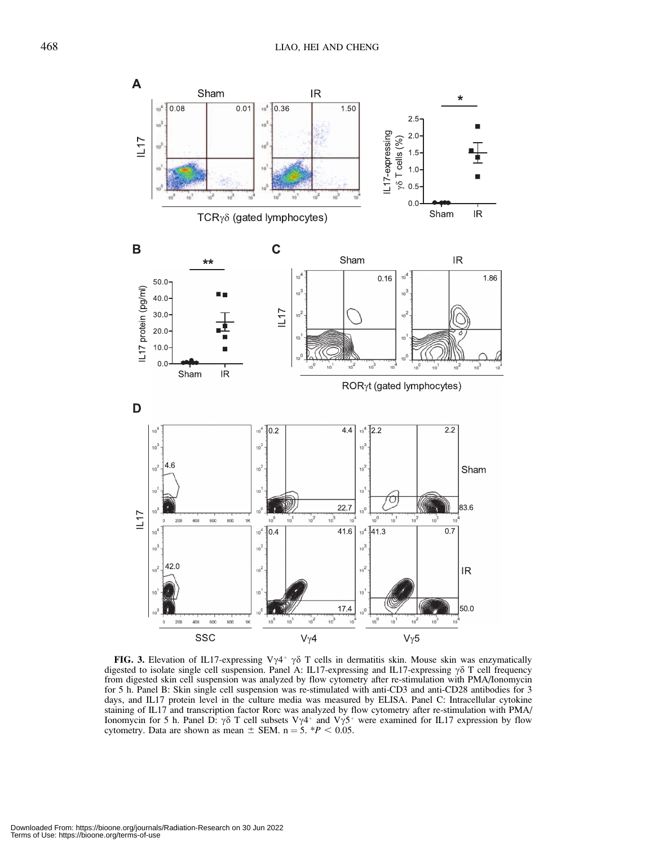

FIG. 3. Elevation of IL17-expressing V $\gamma$ 4<sup>+</sup>  $\gamma$  $\delta$  T cells in dermatitis skin. Mouse skin was enzymatically digested to isolate single cell suspension. Panel A: IL17-expressing and IL17-expressing  $\gamma\delta$  T cell frequency from digested skin cell suspension was analyzed by flow cytometry after re-stimulation with PMA/Ionomycin for 5 h. Panel B: Skin single cell suspension was re-stimulated with anti-CD3 and anti-CD28 antibodies for 3 days, and IL17 protein level in the culture media was measured by ELISA. Panel C: Intracellular cytokine staining of IL17 and transcription factor Rorc was analyzed by flow cytometry after re-stimulation with PMA/ Ionomycin for 5 h. Panel D:  $\gamma\delta$  T cell subsets V $\gamma$ 4<sup>+</sup> and V $\gamma$ 5<sup>+</sup> were examined for IL17 expression by flow cytometry. Data are shown as mean  $\pm$  SEM. n = 5. \*P < 0.05.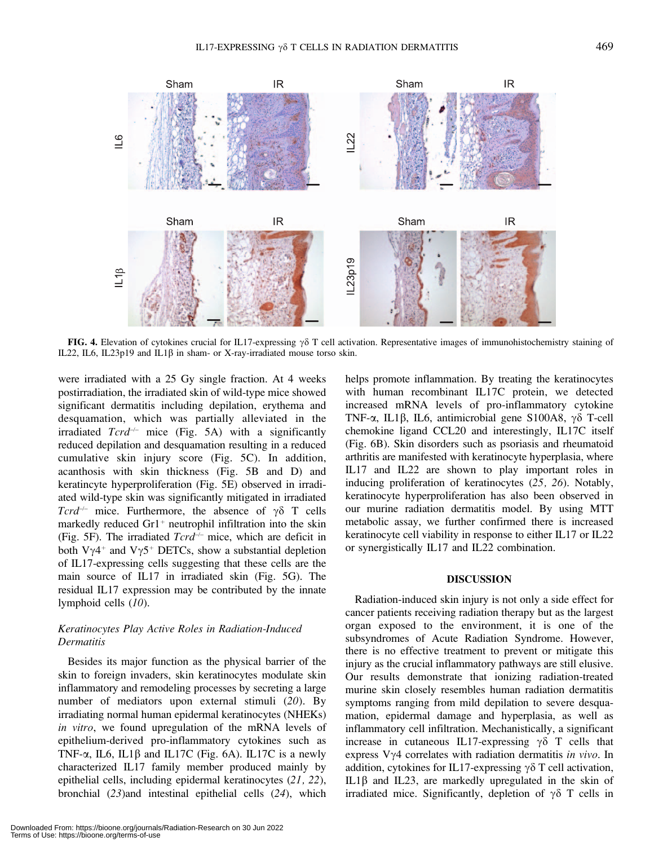

FIG. 4. Elevation of cytokines crucial for IL17-expressing  $\gamma \delta$  T cell activation. Representative images of immunohistochemistry staining of IL22, IL6, IL23p19 and IL1 $\beta$  in sham- or X-ray-irradiated mouse torso skin.

were irradiated with a 25 Gy single fraction. At 4 weeks postirradiation, the irradiated skin of wild-type mice showed significant dermatitis including depilation, erythema and desquamation, which was partially alleviated in the irradiated  $Tcrd^{-/-}$  mice (Fig. 5A) with a significantly reduced depilation and desquamation resulting in a reduced cumulative skin injury score (Fig. 5C). In addition, acanthosis with skin thickness (Fig. 5B and D) and keratincyte hyperproliferation (Fig. 5E) observed in irradiated wild-type skin was significantly mitigated in irradiated Tcrd<sup>-/-</sup> mice. Furthermore, the absence of  $\gamma \delta$  T cells markedly reduced  $Gr1<sup>+</sup>$  neutrophil infiltration into the skin (Fig. 5F). The irradiated  $Tcr\bar{d}^{-/-}$  mice, which are deficit in both V $\gamma$ 4<sup>+</sup> and V $\gamma$ 5<sup>+</sup> DETCs, show a substantial depletion of IL17-expressing cells suggesting that these cells are the main source of IL17 in irradiated skin (Fig. 5G). The residual IL17 expression may be contributed by the innate lymphoid cells  $(10)$ .

# Keratinocytes Play Active Roles in Radiation-Induced **Dermatitis**

Besides its major function as the physical barrier of the skin to foreign invaders, skin keratinocytes modulate skin inflammatory and remodeling processes by secreting a large number of mediators upon external stimuli (20). By irradiating normal human epidermal keratinocytes (NHEKs) in vitro, we found upregulation of the mRNA levels of epithelium-derived pro-inflammatory cytokines such as TNF- $\alpha$ , IL6, IL1 $\beta$  and IL17C (Fig. 6A). IL17C is a newly characterized IL17 family member produced mainly by epithelial cells, including epidermal keratinocytes (21, 22), bronchial (23)and intestinal epithelial cells (24), which

Downloaded From: https://bioone.org/journals/Radiation-Research on 30 Jun 2022 Terms of Use: https://bioone.org/terms-of-use

helps promote inflammation. By treating the keratinocytes with human recombinant IL17C protein, we detected increased mRNA levels of pro-inflammatory cytokine TNF- $\alpha$ , IL1 $\beta$ , IL6, antimicrobial gene S100A8,  $\gamma\delta$  T-cell chemokine ligand CCL20 and interestingly, IL17C itself (Fig. 6B). Skin disorders such as psoriasis and rheumatoid arthritis are manifested with keratinocyte hyperplasia, where IL17 and IL22 are shown to play important roles in inducing proliferation of keratinocytes (25, 26). Notably, keratinocyte hyperproliferation has also been observed in our murine radiation dermatitis model. By using MTT metabolic assay, we further confirmed there is increased keratinocyte cell viability in response to either IL17 or IL22 or synergistically IL17 and IL22 combination.

# DISCUSSION

Radiation-induced skin injury is not only a side effect for cancer patients receiving radiation therapy but as the largest organ exposed to the environment, it is one of the subsyndromes of Acute Radiation Syndrome. However, there is no effective treatment to prevent or mitigate this injury as the crucial inflammatory pathways are still elusive. Our results demonstrate that ionizing radiation-treated murine skin closely resembles human radiation dermatitis symptoms ranging from mild depilation to severe desquamation, epidermal damage and hyperplasia, as well as inflammatory cell infiltration. Mechanistically, a significant increase in cutaneous IL17-expressing  $\gamma \delta$  T cells that express  $V\gamma4$  correlates with radiation dermatitis in vivo. In addition, cytokines for IL17-expressing  $\gamma \delta$  T cell activation, IL1 $\beta$  and IL23, are markedly upregulated in the skin of irradiated mice. Significantly, depletion of  $\gamma\delta$  T cells in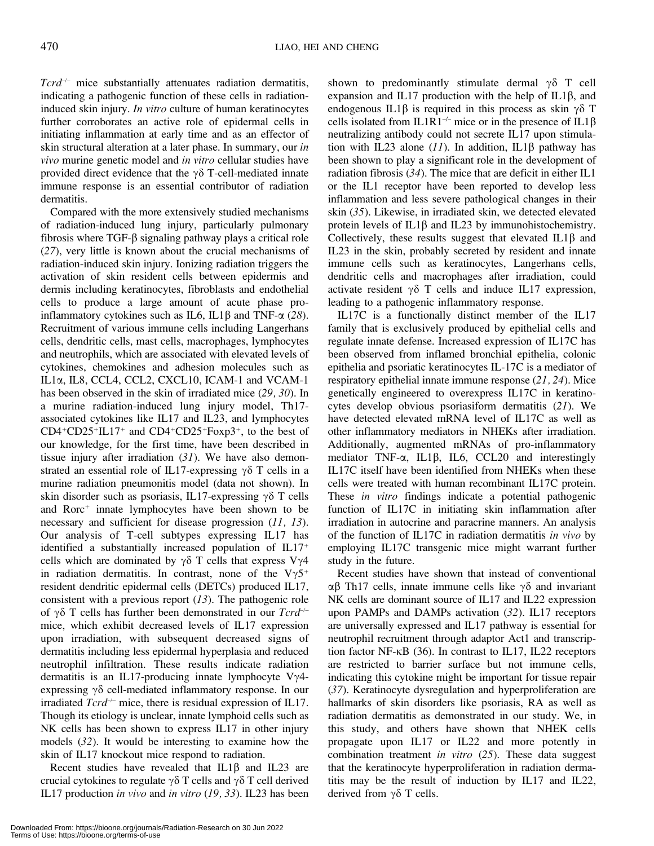$Tcrd^{-/-}$  mice substantially attenuates radiation dermatitis, indicating a pathogenic function of these cells in radiationinduced skin injury. *In vitro* culture of human keratinocytes further corroborates an active role of epidermal cells in initiating inflammation at early time and as an effector of skin structural alteration at a later phase. In summary, our in vivo murine genetic model and in vitro cellular studies have provided direct evidence that the  $\gamma\delta$  T-cell-mediated innate immune response is an essential contributor of radiation dermatitis.

Compared with the more extensively studied mechanisms of radiation-induced lung injury, particularly pulmonary fibrosis where  $TGF-\beta$  signaling pathway plays a critical role (27), very little is known about the crucial mechanisms of radiation-induced skin injury. Ionizing radiation triggers the activation of skin resident cells between epidermis and dermis including keratinocytes, fibroblasts and endothelial cells to produce a large amount of acute phase proinflammatory cytokines such as IL6, IL1 $\beta$  and TNF- $\alpha$  (28). Recruitment of various immune cells including Langerhans cells, dendritic cells, mast cells, macrophages, lymphocytes and neutrophils, which are associated with elevated levels of cytokines, chemokines and adhesion molecules such as IL1a, IL8, CCL4, CCL2, CXCL10, ICAM-1 and VCAM-1 has been observed in the skin of irradiated mice (29, 30). In a murine radiation-induced lung injury model, Th17 associated cytokines like IL17 and IL23, and lymphocytes  $CD4+CD25+IL17+$  and  $CD4+CD25+Foxp3+$ , to the best of our knowledge, for the first time, have been described in tissue injury after irradiation  $(31)$ . We have also demonstrated an essential role of IL17-expressing  $\gamma \delta$  T cells in a murine radiation pneumonitis model (data not shown). In skin disorder such as psoriasis, IL17-expressing  $\gamma \delta$  T cells and Rorc<sup>+</sup> innate lymphocytes have been shown to be necessary and sufficient for disease progression (11, 13). Our analysis of T-cell subtypes expressing IL17 has identified a substantially increased population of  $IL17<sup>+</sup>$ cells which are dominated by  $\gamma\delta$  T cells that express V $\gamma$ 4 in radiation dermatitis. In contrast, none of the  $V\gamma 5^+$ resident dendritic epidermal cells (DETCs) produced IL17, consistent with a previous report  $(13)$ . The pathogenic role of  $\gamma\delta$  T cells has further been demonstrated in our  $Tcr\ddot{\alpha}$ mice, which exhibit decreased levels of IL17 expression upon irradiation, with subsequent decreased signs of dermatitis including less epidermal hyperplasia and reduced neutrophil infiltration. These results indicate radiation dermatitis is an IL17-producing innate lymphocyte  $V\gamma$ 4expressing  $\gamma\delta$  cell-mediated inflammatory response. In our irradiated  $Tcr\ddot{\rm d}^{-1}$  mice, there is residual expression of IL17. Though its etiology is unclear, innate lymphoid cells such as NK cells has been shown to express IL17 in other injury models (32). It would be interesting to examine how the skin of IL17 knockout mice respond to radiation.

Recent studies have revealed that  $IL1\beta$  and  $IL23$  are crucial cytokines to regulate  $\gamma \delta$  T cells and  $\gamma \delta$  T cell derived IL17 production in vivo and in vitro (19, 33). IL23 has been

shown to predominantly stimulate dermal  $\gamma\delta$  T cell expansion and IL17 production with the help of IL1 $\beta$ , and endogenous IL1 $\beta$  is required in this process as skin  $\gamma\delta$  T cells isolated from IL1R1<sup>-/-</sup> mice or in the presence of IL1 $\beta$ neutralizing antibody could not secrete IL17 upon stimulation with IL23 alone (11). In addition, IL1 $\beta$  pathway has been shown to play a significant role in the development of radiation fibrosis (34). The mice that are deficit in either IL1 or the IL1 receptor have been reported to develop less inflammation and less severe pathological changes in their skin (35). Likewise, in irradiated skin, we detected elevated protein levels of  $IL1\beta$  and  $IL23$  by immunohistochemistry. Collectively, these results suggest that elevated  $IL1\beta$  and IL23 in the skin, probably secreted by resident and innate immune cells such as keratinocytes, Langerhans cells, dendritic cells and macrophages after irradiation, could activate resident  $\gamma \delta$  T cells and induce IL17 expression, leading to a pathogenic inflammatory response.

IL17C is a functionally distinct member of the IL17 family that is exclusively produced by epithelial cells and regulate innate defense. Increased expression of IL17C has been observed from inflamed bronchial epithelia, colonic epithelia and psoriatic keratinocytes IL-17C is a mediator of respiratory epithelial innate immune response (21, 24). Mice genetically engineered to overexpress IL17C in keratinocytes develop obvious psoriasiform dermatitis (21). We have detected elevated mRNA level of IL17C as well as other inflammatory mediators in NHEKs after irradiation. Additionally, augmented mRNAs of pro-inflammatory mediator TNF- $\alpha$ , IL1 $\beta$ , IL6, CCL20 and interestingly IL17C itself have been identified from NHEKs when these cells were treated with human recombinant IL17C protein. These *in vitro* findings indicate a potential pathogenic function of IL17C in initiating skin inflammation after irradiation in autocrine and paracrine manners. An analysis of the function of IL17C in radiation dermatitis in vivo by employing IL17C transgenic mice might warrant further study in the future.

Recent studies have shown that instead of conventional  $\alpha\beta$  Th17 cells, innate immune cells like  $\gamma\delta$  and invariant NK cells are dominant source of IL17 and IL22 expression upon PAMPs and DAMPs activation (32). IL17 receptors are universally expressed and IL17 pathway is essential for neutrophil recruitment through adaptor Act1 and transcription factor NF- $\kappa$ B (36). In contrast to IL17, IL22 receptors are restricted to barrier surface but not immune cells, indicating this cytokine might be important for tissue repair (37). Keratinocyte dysregulation and hyperproliferation are hallmarks of skin disorders like psoriasis, RA as well as radiation dermatitis as demonstrated in our study. We, in this study, and others have shown that NHEK cells propagate upon IL17 or IL22 and more potently in combination treatment *in vitro* (25). These data suggest that the keratinocyte hyperproliferation in radiation dermatitis may be the result of induction by IL17 and IL22, derived from  $\gamma\delta$  T cells.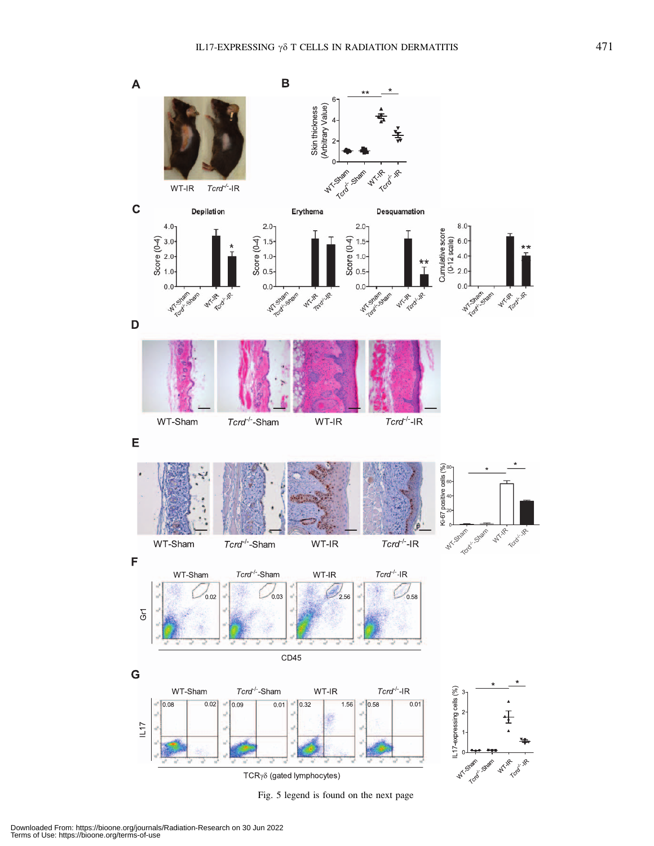

Fig. 5 legend is found on the next page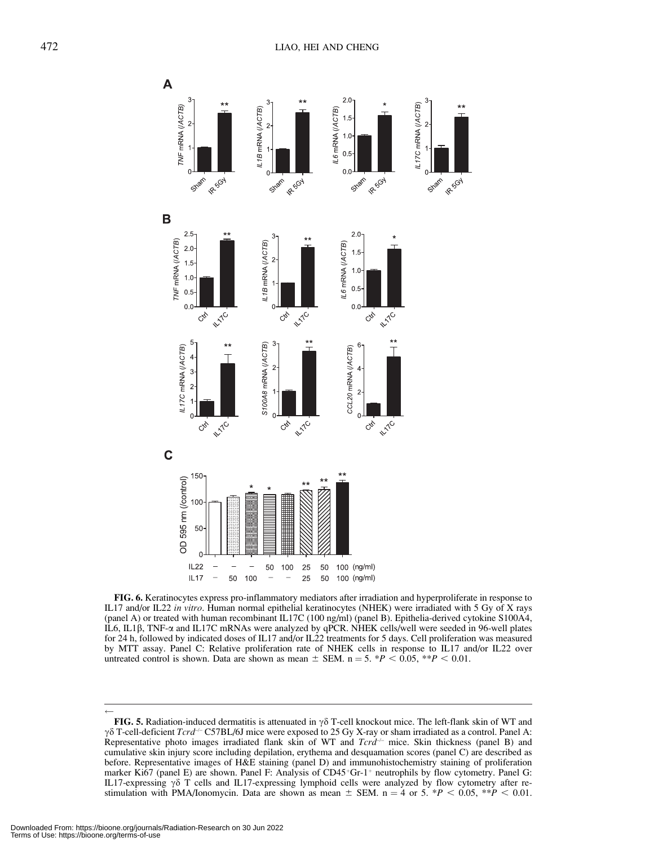

FIG. 6. Keratinocytes express pro-inflammatory mediators after irradiation and hyperproliferate in response to IL17 and/or IL22 in vitro. Human normal epithelial keratinocytes (NHEK) were irradiated with 5 Gy of X rays (panel A) or treated with human recombinant IL17C (100 ng/ml) (panel B). Epithelia-derived cytokine S100A4, IL6, IL1b, TNF-a and IL17C mRNAs were analyzed by qPCR. NHEK cells/well were seeded in 96-well plates for 24 h, followed by indicated doses of IL17 and/or IL22 treatments for 5 days. Cell proliferation was measured by MTT assay. Panel C: Relative proliferation rate of NHEK cells in response to IL17 and/or IL22 over untreated control is shown. Data are shown as mean  $\pm$  SEM. n = 5. \*P < 0.05, \*\*P < 0.01.

 $\leftarrow$ 

FIG. 5. Radiation-induced dermatitis is attenuated in  $\gamma \delta$  T-cell knockout mice. The left-flank skin of WT and  $\gamma\delta$  T-cell-deficient Tcrd<sup>-/-</sup> C57BL/6J mice were exposed to 25 Gy X-ray or sham irradiated as a control. Panel A: Representative photo images irradiated flank skin of WT and  $Tcr\ddot{d}$  mice. Skin thickness (panel B) and cumulative skin injury score including depilation, erythema and desquamation scores (panel C) are described as before. Representative images of H&E staining (panel D) and immunohistochemistry staining of proliferation marker Ki67 (panel E) are shown. Panel F: Analysis of  $CD45<sup>+</sup>Gr-1<sup>+</sup>$  neutrophils by flow cytometry. Panel G: IL17-expressing  $\gamma\delta$  T cells and IL17-expressing lymphoid cells were analyzed by flow cytometry after restimulation with PMA/Ionomycin. Data are shown as mean  $\pm$  SEM. n = 4 or 5. \*P < 0.05, \*\*P < 0.01.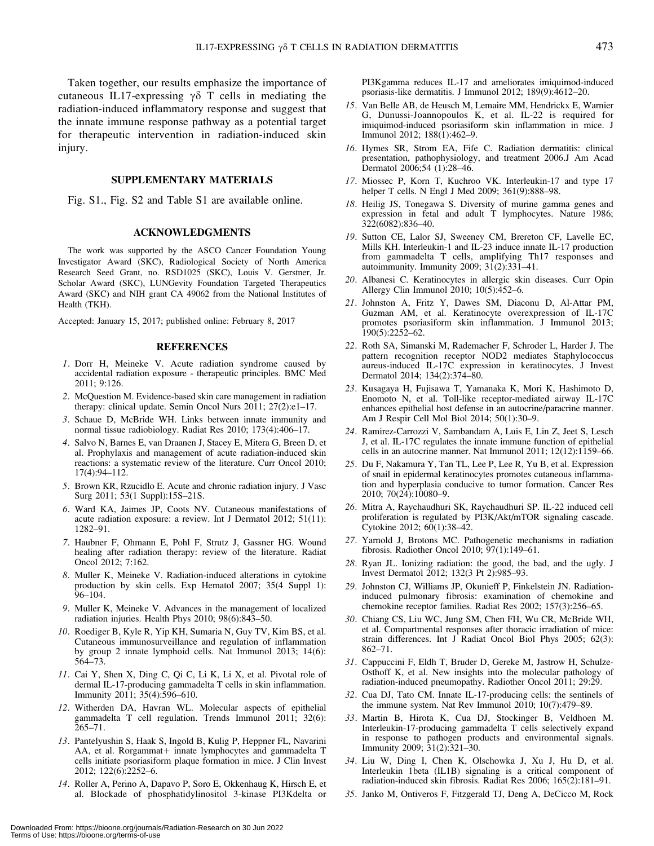Taken together, our results emphasize the importance of cutaneous IL17-expressing  $\gamma\delta$  T cells in mediating the radiation-induced inflammatory response and suggest that the innate immune response pathway as a potential target for therapeutic intervention in radiation-induced skin injury.

#### SUPPLEMENTARY MATERIALS

Fig. S1., Fig. S2 and Table S1 are available online.

#### ACKNOWLEDGMENTS

The work was supported by the ASCO Cancer Foundation Young Investigator Award (SKC), Radiological Society of North America Research Seed Grant, no. RSD1025 (SKC), Louis V. Gerstner, Jr. Scholar Award (SKC), LUNGevity Foundation Targeted Therapeutics Award (SKC) and NIH grant CA 49062 from the National Institutes of Health (TKH).

Accepted: January 15, 2017; published online: February 8, 2017

#### REFERENCES

- 1. Dorr H, Meineke V. Acute radiation syndrome caused by accidental radiation exposure - therapeutic principles. BMC Med 2011; 9:126.
- 2. McQuestion M. Evidence-based skin care management in radiation therapy: clinical update. Semin Oncol Nurs 2011; 27(2):e1-17.
- 3. Schaue D, McBride WH. Links between innate immunity and normal tissue radiobiology. Radiat Res 2010; 173(4):406–17.
- 4. Salvo N, Barnes E, van Draanen J, Stacey E, Mitera G, Breen D, et al. Prophylaxis and management of acute radiation-induced skin reactions: a systematic review of the literature. Curr Oncol 2010; 17(4):94–112.
- 5. Brown KR, Rzucidlo E. Acute and chronic radiation injury. J Vasc Surg 2011; 53(1 Suppl):15S–21S.
- 6. Ward KA, Jaimes JP, Coots NV. Cutaneous manifestations of acute radiation exposure: a review. Int J Dermatol 2012; 51(11): 1282–91.
- 7. Haubner F, Ohmann E, Pohl F, Strutz J, Gassner HG. Wound healing after radiation therapy: review of the literature. Radiat Oncol 2012; 7:162.
- 8. Muller K, Meineke V. Radiation-induced alterations in cytokine production by skin cells. Exp Hematol 2007; 35(4 Suppl 1): 96–104.
- 9. Muller K, Meineke V. Advances in the management of localized radiation injuries. Health Phys 2010; 98(6):843–50.
- 10. Roediger B, Kyle R, Yip KH, Sumaria N, Guy TV, Kim BS, et al. Cutaneous immunosurveillance and regulation of inflammation by group 2 innate lymphoid cells. Nat Immunol 2013; 14(6): 564–73.
- 11. Cai Y, Shen X, Ding C, Qi C, Li K, Li X, et al. Pivotal role of dermal IL-17-producing gammadelta T cells in skin inflammation. Immunity 2011; 35(4):596–610.
- 12. Witherden DA, Havran WL. Molecular aspects of epithelial gammadelta T cell regulation. Trends Immunol 2011; 32(6): 265–71.
- 13. Pantelyushin S, Haak S, Ingold B, Kulig P, Heppner FL, Navarini AA, et al. Rorgammat+ innate lymphocytes and gammadelta T cells initiate psoriasiform plaque formation in mice. J Clin Invest 2012; 122(6):2252–6.
- 14. Roller A, Perino A, Dapavo P, Soro E, Okkenhaug K, Hirsch E, et al. Blockade of phosphatidylinositol 3-kinase PI3Kdelta or

PI3Kgamma reduces IL-17 and ameliorates imiquimod-induced psoriasis-like dermatitis. J Immunol 2012; 189(9):4612–20.

- 15. Van Belle AB, de Heusch M, Lemaire MM, Hendrickx E, Warnier G, Dunussi-Joannopoulos K, et al. IL-22 is required for imiquimod-induced psoriasiform skin inflammation in mice. J Immunol 2012; 188(1):462–9.
- 16. Hymes SR, Strom EA, Fife C. Radiation dermatitis: clinical presentation, pathophysiology, and treatment 2006.J Am Acad Dermatol 2006;54 (1):28–46.
- 17. Miossec P, Korn T, Kuchroo VK. Interleukin-17 and type 17 helper T cells. N Engl J Med 2009; 361(9):888–98.
- 18. Heilig JS, Tonegawa S. Diversity of murine gamma genes and expression in fetal and adult T lymphocytes. Nature 1986; 322(6082):836–40.
- 19. Sutton CE, Lalor SJ, Sweeney CM, Brereton CF, Lavelle EC, Mills KH. Interleukin-1 and IL-23 induce innate IL-17 production from gammadelta T cells, amplifying Th17 responses and autoimmunity. Immunity 2009; 31(2):331–41.
- 20. Albanesi C. Keratinocytes in allergic skin diseases. Curr Opin Allergy Clin Immunol 2010; 10(5):452–6.
- 21. Johnston A, Fritz Y, Dawes SM, Diaconu D, Al-Attar PM, Guzman AM, et al. Keratinocyte overexpression of IL-17C promotes psoriasiform skin inflammation. J Immunol 2013; 190(5):2252–62.
- 22. Roth SA, Simanski M, Rademacher F, Schroder L, Harder J. The pattern recognition receptor NOD2 mediates Staphylococcus aureus-induced IL-17C expression in keratinocytes. J Invest Dermatol 2014; 134(2):374–80.
- 23. Kusagaya H, Fujisawa T, Yamanaka K, Mori K, Hashimoto D, Enomoto N, et al. Toll-like receptor-mediated airway IL-17C enhances epithelial host defense in an autocrine/paracrine manner. Am J Respir Cell Mol Biol 2014; 50(1):30–9.
- 24. Ramirez-Carrozzi V, Sambandam A, Luis E, Lin Z, Jeet S, Lesch J, et al. IL-17C regulates the innate immune function of epithelial cells in an autocrine manner. Nat Immunol  $2011$ ;  $12(12)$ : $1159-66$ .
- 25. Du F, Nakamura Y, Tan TL, Lee P, Lee R, Yu B, et al. Expression of snail in epidermal keratinocytes promotes cutaneous inflammation and hyperplasia conducive to tumor formation. Cancer Res 2010; 70(24):10080–9.
- 26. Mitra A, Raychaudhuri SK, Raychaudhuri SP. IL-22 induced cell proliferation is regulated by PI3K/Akt/mTOR signaling cascade. Cytokine 2012; 60(1):38–42.
- 27. Yarnold J, Brotons MC. Pathogenetic mechanisms in radiation fibrosis. Radiother Oncol 2010; 97(1):149–61.
- 28. Ryan JL. Ionizing radiation: the good, the bad, and the ugly. J Invest Dermatol 2012; 132(3 Pt 2):985–93.
- 29. Johnston CJ, Williams JP, Okunieff P, Finkelstein JN. Radiationinduced pulmonary fibrosis: examination of chemokine and chemokine receptor families. Radiat Res 2002; 157(3):256–65.
- 30. Chiang CS, Liu WC, Jung SM, Chen FH, Wu CR, McBride WH, et al. Compartmental responses after thoracic irradiation of mice: strain differences. Int J Radiat Oncol Biol Phys 2005; 62(3): 862–71.
- 31. Cappuccini F, Eldh T, Bruder D, Gereke M, Jastrow H, Schulze-Osthoff K, et al. New insights into the molecular pathology of radiation-induced pneumopathy. Radiother Oncol 2011; 29:29.
- 32. Cua DJ, Tato CM. Innate IL-17-producing cells: the sentinels of the immune system. Nat Rev Immunol 2010; 10(7):479–89.
- 33. Martin B, Hirota K, Cua DJ, Stockinger B, Veldhoen M. Interleukin-17-producing gammadelta T cells selectively expand in response to pathogen products and environmental signals. Immunity 2009; 31(2):321–30.
- 34. Liu W, Ding I, Chen K, Olschowka J, Xu J, Hu D, et al. Interleukin 1beta (IL1B) signaling is a critical component of radiation-induced skin fibrosis. Radiat Res 2006; 165(2):181–91.
- 35. Janko M, Ontiveros F, Fitzgerald TJ, Deng A, DeCicco M, Rock